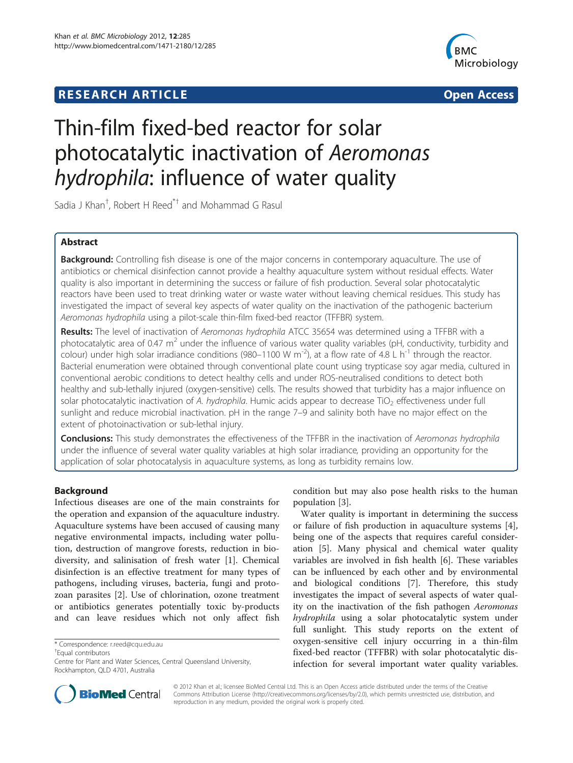## **RESEARCH ARTICLE CONSUMING A RESEARCH ARTICLE**



# Thin-film fixed-bed reactor for solar photocatalytic inactivation of Aeromonas hydrophila: influence of water quality

Sadia J Khan<sup>†</sup>, Robert H Reed<sup>\*†</sup> and Mohammad G Rasul

## Abstract

Background: Controlling fish disease is one of the major concerns in contemporary aquaculture. The use of antibiotics or chemical disinfection cannot provide a healthy aquaculture system without residual effects. Water quality is also important in determining the success or failure of fish production. Several solar photocatalytic reactors have been used to treat drinking water or waste water without leaving chemical residues. This study has investigated the impact of several key aspects of water quality on the inactivation of the pathogenic bacterium Aeromonas hydrophila using a pilot-scale thin-film fixed-bed reactor (TFFBR) system.

Results: The level of inactivation of Aeromonas hydrophila ATCC 35654 was determined using a TFFBR with a photocatalytic area of 0.47  $m^2$  under the influence of various water quality variables (pH, conductivity, turbidity and colour) under high solar irradiance conditions (980–1100 W m<sup>-2</sup>), at a flow rate of 4.8 L h<sup>-1</sup> through the reactor. Bacterial enumeration were obtained through conventional plate count using trypticase soy agar media, cultured in conventional aerobic conditions to detect healthy cells and under ROS-neutralised conditions to detect both healthy and sub-lethally injured (oxygen-sensitive) cells. The results showed that turbidity has a major influence on solar photocatalytic inactivation of A. hydrophila. Humic acids appear to decrease TiO<sub>2</sub> effectiveness under full sunlight and reduce microbial inactivation. pH in the range 7–9 and salinity both have no major effect on the extent of photoinactivation or sub-lethal injury.

Conclusions: This study demonstrates the effectiveness of the TFFBR in the inactivation of Aeromonas hydrophila under the influence of several water quality variables at high solar irradiance, providing an opportunity for the application of solar photocatalysis in aquaculture systems, as long as turbidity remains low.

## Background

Infectious diseases are one of the main constraints for the operation and expansion of the aquaculture industry. Aquaculture systems have been accused of causing many negative environmental impacts, including water pollution, destruction of mangrove forests, reduction in biodiversity, and salinisation of fresh water [[1\]](#page-11-0). Chemical disinfection is an effective treatment for many types of pathogens, including viruses, bacteria, fungi and protozoan parasites [\[2](#page-11-0)]. Use of chlorination, ozone treatment or antibiotics generates potentially toxic by-products and can leave residues which not only affect fish

Equal contributors



Water quality is important in determining the success or failure of fish production in aquaculture systems [\[4](#page-11-0)], being one of the aspects that requires careful consideration [[5\]](#page-11-0). Many physical and chemical water quality variables are involved in fish health [[6\]](#page-11-0). These variables can be influenced by each other and by environmental and biological conditions [[7\]](#page-11-0). Therefore, this study investigates the impact of several aspects of water quality on the inactivation of the fish pathogen Aeromonas hydrophila using a solar photocatalytic system under full sunlight. This study reports on the extent of oxygen-sensitive cell injury occurring in a thin-film fixed-bed reactor (TFFBR) with solar photocatalytic disinfection for several important water quality variables.



© 2012 Khan et al.; licensee BioMed Central Ltd. This is an Open Access article distributed under the terms of the Creative Commons Attribution License [\(http://creativecommons.org/licenses/by/2.0\)](http://creativecommons.org/licenses/by/2.0), which permits unrestricted use, distribution, and reproduction in any medium, provided the original work is properly cited.

<sup>\*</sup> Correspondence: [r.reed@cqu.edu.au](mailto:r.reed@cqu.edu.au) †

Centre for Plant and Water Sciences, Central Queensland University, Rockhampton, QLD 4701, Australia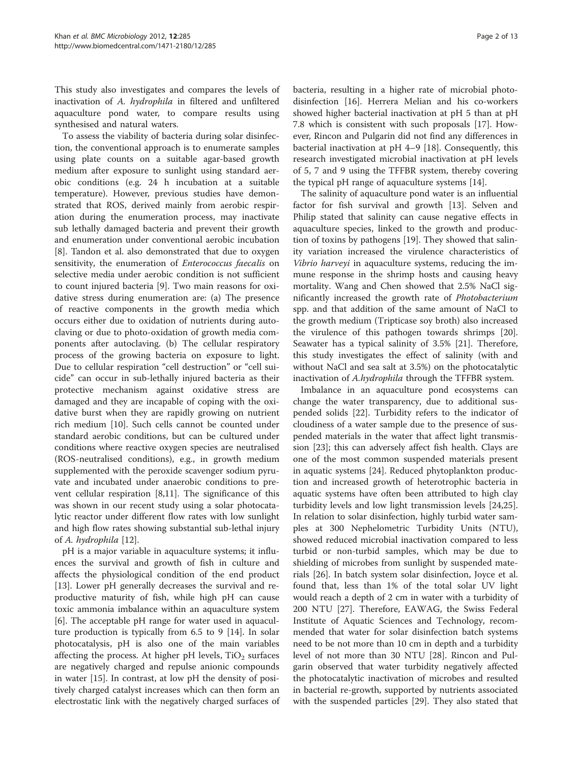This study also investigates and compares the levels of inactivation of A. hydrophila in filtered and unfiltered aquaculture pond water, to compare results using synthesised and natural waters.

To assess the viability of bacteria during solar disinfection, the conventional approach is to enumerate samples using plate counts on a suitable agar-based growth medium after exposure to sunlight using standard aerobic conditions (e.g. 24 h incubation at a suitable temperature). However, previous studies have demonstrated that ROS, derived mainly from aerobic respiration during the enumeration process, may inactivate sub lethally damaged bacteria and prevent their growth and enumeration under conventional aerobic incubation [[8\]](#page-11-0). Tandon et al. also demonstrated that due to oxygen sensitivity, the enumeration of *Enterococcus faecalis* on selective media under aerobic condition is not sufficient to count injured bacteria [\[9](#page-11-0)]. Two main reasons for oxidative stress during enumeration are: (a) The presence of reactive components in the growth media which occurs either due to oxidation of nutrients during autoclaving or due to photo-oxidation of growth media components after autoclaving. (b) The cellular respiratory process of the growing bacteria on exposure to light. Due to cellular respiration "cell destruction" or "cell suicide" can occur in sub-lethally injured bacteria as their protective mechanism against oxidative stress are damaged and they are incapable of coping with the oxidative burst when they are rapidly growing on nutrient rich medium [\[10\]](#page-11-0). Such cells cannot be counted under standard aerobic conditions, but can be cultured under conditions where reactive oxygen species are neutralised (ROS-neutralised conditions), e.g., in growth medium supplemented with the peroxide scavenger sodium pyruvate and incubated under anaerobic conditions to prevent cellular respiration [\[8,11](#page-11-0)]. The significance of this was shown in our recent study using a solar photocatalytic reactor under different flow rates with low sunlight and high flow rates showing substantial sub-lethal injury of A. hydrophila [[12](#page-11-0)].

pH is a major variable in aquaculture systems; it influences the survival and growth of fish in culture and affects the physiological condition of the end product [[13\]](#page-11-0). Lower pH generally decreases the survival and reproductive maturity of fish, while high pH can cause toxic ammonia imbalance within an aquaculture system [[6\]](#page-11-0). The acceptable pH range for water used in aquaculture production is typically from 6.5 to 9 [\[14\]](#page-11-0). In solar photocatalysis, pH is also one of the main variables affecting the process. At higher pH levels,  $TiO<sub>2</sub>$  surfaces are negatively charged and repulse anionic compounds in water [[15\]](#page-11-0). In contrast, at low pH the density of positively charged catalyst increases which can then form an electrostatic link with the negatively charged surfaces of

bacteria, resulting in a higher rate of microbial photodisinfection [\[16](#page-11-0)]. Herrera Melian and his co-workers showed higher bacterial inactivation at pH 5 than at pH 7.8 which is consistent with such proposals [\[17](#page-11-0)]. However, Rincon and Pulgarin did not find any differences in bacterial inactivation at pH 4–9 [[18](#page-11-0)]. Consequently, this research investigated microbial inactivation at pH levels of 5, 7 and 9 using the TFFBR system, thereby covering the typical pH range of aquaculture systems [\[14\]](#page-11-0).

The salinity of aquaculture pond water is an influential factor for fish survival and growth [[13\]](#page-11-0). Selven and Philip stated that salinity can cause negative effects in aquaculture species, linked to the growth and production of toxins by pathogens [\[19](#page-11-0)]. They showed that salinity variation increased the virulence characteristics of Vibrio harveyi in aquaculture systems, reducing the immune response in the shrimp hosts and causing heavy mortality. Wang and Chen showed that 2.5% NaCl significantly increased the growth rate of Photobacterium spp. and that addition of the same amount of NaCl to the growth medium (Tripticase soy broth) also increased the virulence of this pathogen towards shrimps [\[20](#page-11-0)]. Seawater has a typical salinity of 3.5% [\[21](#page-11-0)]. Therefore, this study investigates the effect of salinity (with and without NaCl and sea salt at 3.5%) on the photocatalytic inactivation of A.hydrophila through the TFFBR system.

Imbalance in an aquaculture pond ecosystems can change the water transparency, due to additional suspended solids [[22\]](#page-11-0). Turbidity refers to the indicator of cloudiness of a water sample due to the presence of suspended materials in the water that affect light transmission [[23](#page-11-0)]; this can adversely affect fish health. Clays are one of the most common suspended materials present in aquatic systems [[24\]](#page-11-0). Reduced phytoplankton production and increased growth of heterotrophic bacteria in aquatic systems have often been attributed to high clay turbidity levels and low light transmission levels [\[24,25](#page-11-0)]. In relation to solar disinfection, highly turbid water samples at 300 Nephelometric Turbidity Units (NTU), showed reduced microbial inactivation compared to less turbid or non-turbid samples, which may be due to shielding of microbes from sunlight by suspended materials [\[26](#page-11-0)]. In batch system solar disinfection, Joyce et al. found that, less than 1% of the total solar UV light would reach a depth of 2 cm in water with a turbidity of 200 NTU [[27\]](#page-11-0). Therefore, EAWAG, the Swiss Federal Institute of Aquatic Sciences and Technology, recommended that water for solar disinfection batch systems need to be not more than 10 cm in depth and a turbidity level of not more than 30 NTU [[28](#page-11-0)]. Rincon and Pulgarin observed that water turbidity negatively affected the photocatalytic inactivation of microbes and resulted in bacterial re-growth, supported by nutrients associated with the suspended particles [\[29](#page-11-0)]. They also stated that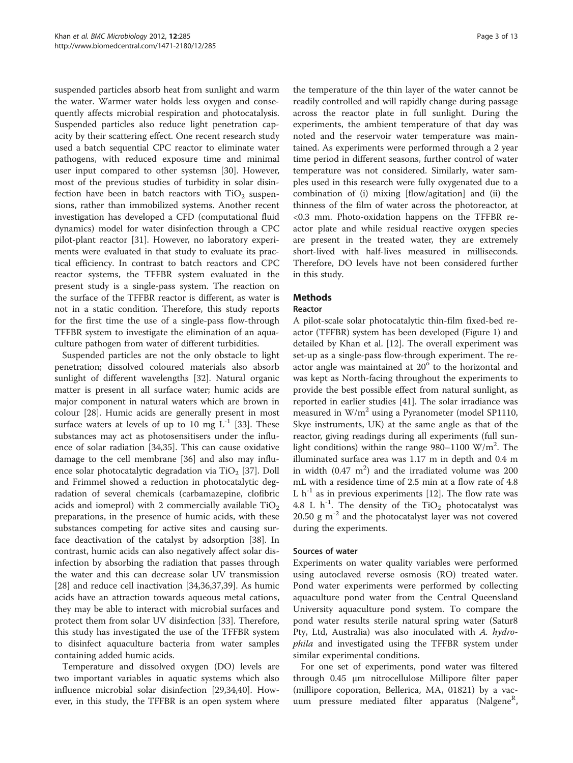suspended particles absorb heat from sunlight and warm the water. Warmer water holds less oxygen and consequently affects microbial respiration and photocatalysis. Suspended particles also reduce light penetration capacity by their scattering effect. One recent research study used a batch sequential CPC reactor to eliminate water pathogens, with reduced exposure time and minimal user input compared to other systemsn [[30\]](#page-11-0). However, most of the previous studies of turbidity in solar disinfection have been in batch reactors with  $TiO<sub>2</sub>$  suspensions, rather than immobilized systems. Another recent investigation has developed a CFD (computational fluid dynamics) model for water disinfection through a CPC pilot-plant reactor [[31\]](#page-11-0). However, no laboratory experiments were evaluated in that study to evaluate its practical efficiency. In contrast to batch reactors and CPC reactor systems, the TFFBR system evaluated in the present study is a single-pass system. The reaction on the surface of the TFFBR reactor is different, as water is not in a static condition. Therefore, this study reports for the first time the use of a single-pass flow-through TFFBR system to investigate the elimination of an aquaculture pathogen from water of different turbidities.

Suspended particles are not the only obstacle to light penetration; dissolved coloured materials also absorb sunlight of different wavelengths [\[32](#page-11-0)]. Natural organic matter is present in all surface water; humic acids are major component in natural waters which are brown in colour [\[28](#page-11-0)]. Humic acids are generally present in most surface waters at levels of up to 10 mg  $L^{-1}$  [[33\]](#page-11-0). These substances may act as photosensitisers under the influence of solar radiation [\[34,35](#page-11-0)]. This can cause oxidative damage to the cell membrane [[36\]](#page-11-0) and also may influ-ence solar photocatalytic degradation via TiO<sub>2</sub> [[37\]](#page-11-0). Doll and Frimmel showed a reduction in photocatalytic degradation of several chemicals (carbamazepine, clofibric acids and iomeprol) with 2 commercially available  $TiO<sub>2</sub>$ preparations, in the presence of humic acids, with these substances competing for active sites and causing surface deactivation of the catalyst by adsorption [\[38\]](#page-11-0). In contrast, humic acids can also negatively affect solar disinfection by absorbing the radiation that passes through the water and this can decrease solar UV transmission [[28\]](#page-11-0) and reduce cell inactivation [\[34,36,37,39](#page-11-0)]. As humic acids have an attraction towards aqueous metal cations, they may be able to interact with microbial surfaces and protect them from solar UV disinfection [[33\]](#page-11-0). Therefore, this study has investigated the use of the TFFBR system to disinfect aquaculture bacteria from water samples containing added humic acids.

Temperature and dissolved oxygen (DO) levels are two important variables in aquatic systems which also influence microbial solar disinfection [\[29,34,40\]](#page-11-0). However, in this study, the TFFBR is an open system where the temperature of the thin layer of the water cannot be readily controlled and will rapidly change during passage across the reactor plate in full sunlight. During the experiments, the ambient temperature of that day was noted and the reservoir water temperature was maintained. As experiments were performed through a 2 year time period in different seasons, further control of water temperature was not considered. Similarly, water samples used in this research were fully oxygenated due to a combination of (i) mixing [flow/agitation] and (ii) the thinness of the film of water across the photoreactor, at <0.3 mm. Photo-oxidation happens on the TFFBR reactor plate and while residual reactive oxygen species are present in the treated water, they are extremely short-lived with half-lives measured in milliseconds. Therefore, DO levels have not been considered further in this study.

## Methods

#### Reactor

A pilot-scale solar photocatalytic thin-film fixed-bed reactor (TFFBR) system has been developed (Figure [1](#page-3-0)) and detailed by Khan et al. [[12\]](#page-11-0). The overall experiment was set-up as a single-pass flow-through experiment. The reactor angle was maintained at 20° to the horizontal and was kept as North-facing throughout the experiments to provide the best possible effect from natural sunlight, as reported in earlier studies [\[41](#page-11-0)]. The solar irradiance was measured in  $W/m^2$  using a Pyranometer (model SP1110, Skye instruments, UK) at the same angle as that of the reactor, giving readings during all experiments (full sunlight conditions) within the range 980-1100 W/m<sup>2</sup>. The illuminated surface area was 1.17 m in depth and 0.4 m in width  $(0.47 \text{ m}^2)$  and the irradiated volume was 200 mL with a residence time of 2.5 min at a flow rate of 4.8 L  $h^{-1}$  as in previous experiments [[12\]](#page-11-0). The flow rate was 4.8 L  $h^{-1}$ . The density of the TiO<sub>2</sub> photocatalyst was 20.50 g  $m^{-2}$  and the photocatalyst layer was not covered during the experiments.

#### Sources of water

Experiments on water quality variables were performed using autoclaved reverse osmosis (RO) treated water. Pond water experiments were performed by collecting aquaculture pond water from the Central Queensland University aquaculture pond system. To compare the pond water results sterile natural spring water (Satur8 Pty, Ltd, Australia) was also inoculated with A. hydrophila and investigated using the TFFBR system under similar experimental conditions.

For one set of experiments, pond water was filtered through 0.45 μm nitrocellulose Millipore filter paper (millipore coporation, Bellerica, MA, 01821) by a vacuum pressure mediated filter apparatus (Nalgene<sup>R</sup>,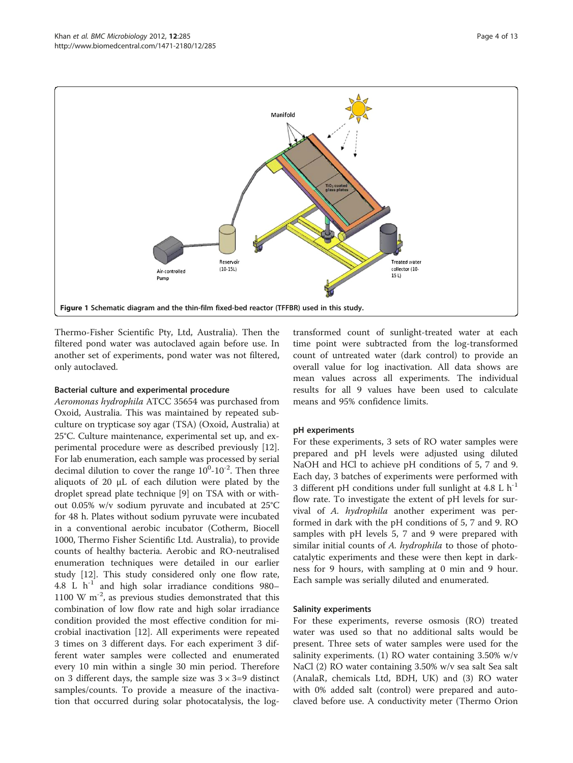<span id="page-3-0"></span>

Thermo-Fisher Scientific Pty, Ltd, Australia). Then the filtered pond water was autoclaved again before use. In another set of experiments, pond water was not filtered, only autoclaved.

#### Bacterial culture and experimental procedure

Aeromonas hydrophila ATCC 35654 was purchased from Oxoid, Australia. This was maintained by repeated subculture on trypticase soy agar (TSA) (Oxoid, Australia) at 25°C. Culture maintenance, experimental set up, and experimental procedure were as described previously [\[12](#page-11-0)]. For lab enumeration, each sample was processed by serial decimal dilution to cover the range  $10^0$ - $10^{-2}$ . Then three aliquots of 20 μL of each dilution were plated by the droplet spread plate technique [[9\]](#page-11-0) on TSA with or without 0.05% w/v sodium pyruvate and incubated at 25°C for 48 h. Plates without sodium pyruvate were incubated in a conventional aerobic incubator (Cotherm, Biocell 1000, Thermo Fisher Scientific Ltd. Australia), to provide counts of healthy bacteria. Aerobic and RO-neutralised enumeration techniques were detailed in our earlier study [[12\]](#page-11-0). This study considered only one flow rate, 4.8 L  $h^{-1}$  and high solar irradiance conditions 980-1100 W  $m^{-2}$ , as previous studies demonstrated that this combination of low flow rate and high solar irradiance condition provided the most effective condition for microbial inactivation [\[12](#page-11-0)]. All experiments were repeated 3 times on 3 different days. For each experiment 3 different water samples were collected and enumerated every 10 min within a single 30 min period. Therefore on 3 different days, the sample size was  $3 \times 3 = 9$  distinct samples/counts. To provide a measure of the inactivation that occurred during solar photocatalysis, the logtransformed count of sunlight-treated water at each time point were subtracted from the log-transformed count of untreated water (dark control) to provide an overall value for log inactivation. All data shows are mean values across all experiments. The individual results for all 9 values have been used to calculate means and 95% confidence limits.

#### pH experiments

For these experiments, 3 sets of RO water samples were prepared and pH levels were adjusted using diluted NaOH and HCl to achieve pH conditions of 5, 7 and 9. Each day, 3 batches of experiments were performed with 3 different pH conditions under full sunlight at  $4.8 \,$  L h<sup>-1</sup> flow rate. To investigate the extent of pH levels for survival of A. hydrophila another experiment was performed in dark with the pH conditions of 5, 7 and 9. RO samples with pH levels 5, 7 and 9 were prepared with similar initial counts of A. hydrophila to those of photocatalytic experiments and these were then kept in darkness for 9 hours, with sampling at 0 min and 9 hour. Each sample was serially diluted and enumerated.

#### Salinity experiments

For these experiments, reverse osmosis (RO) treated water was used so that no additional salts would be present. Three sets of water samples were used for the salinity experiments. (1) RO water containing  $3.50\%$  w/v NaCl (2) RO water containing 3.50% w/v sea salt Sea salt (AnalaR, chemicals Ltd, BDH, UK) and (3) RO water with 0% added salt (control) were prepared and autoclaved before use. A conductivity meter (Thermo Orion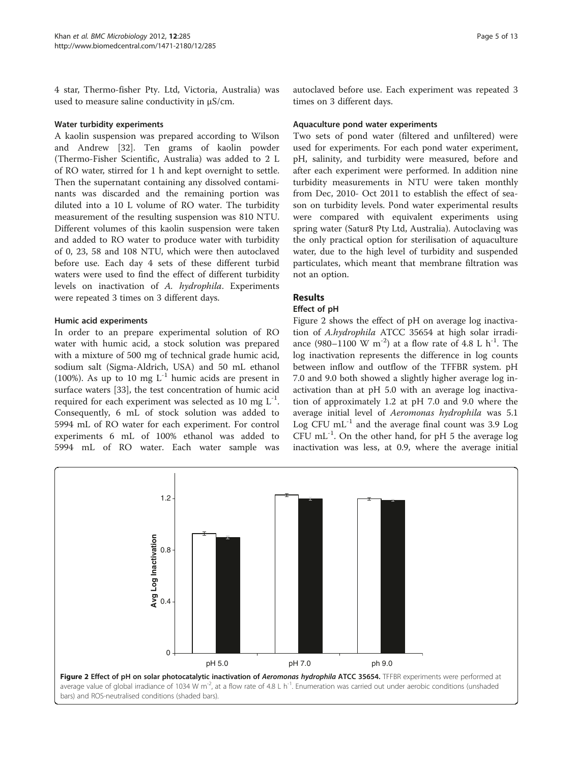<span id="page-4-0"></span>4 star, Thermo-fisher Pty. Ltd, Victoria, Australia) was used to measure saline conductivity in μS/cm.

#### Water turbidity experiments

A kaolin suspension was prepared according to Wilson and Andrew [[32](#page-11-0)]. Ten grams of kaolin powder (Thermo-Fisher Scientific, Australia) was added to 2 L of RO water, stirred for 1 h and kept overnight to settle. Then the supernatant containing any dissolved contaminants was discarded and the remaining portion was diluted into a 10 L volume of RO water. The turbidity measurement of the resulting suspension was 810 NTU. Different volumes of this kaolin suspension were taken and added to RO water to produce water with turbidity of 0, 23, 58 and 108 NTU, which were then autoclaved before use. Each day 4 sets of these different turbid waters were used to find the effect of different turbidity levels on inactivation of A. hydrophila. Experiments were repeated 3 times on 3 different days.

#### Humic acid experiments

In order to an prepare experimental solution of RO water with humic acid, a stock solution was prepared with a mixture of 500 mg of technical grade humic acid, sodium salt (Sigma-Aldrich, USA) and 50 mL ethanol (100%). As up to 10 mg  $L^{-1}$  humic acids are present in surface waters [\[33](#page-11-0)], the test concentration of humic acid required for each experiment was selected as 10 mg  $L^{-1}$ . Consequently, 6 mL of stock solution was added to 5994 mL of RO water for each experiment. For control experiments 6 mL of 100% ethanol was added to 5994 mL of RO water. Each water sample was autoclaved before use. Each experiment was repeated 3 times on 3 different days.

#### Aquaculture pond water experiments

Two sets of pond water (filtered and unfiltered) were used for experiments. For each pond water experiment, pH, salinity, and turbidity were measured, before and after each experiment were performed. In addition nine turbidity measurements in NTU were taken monthly from Dec, 2010- Oct 2011 to establish the effect of season on turbidity levels. Pond water experimental results were compared with equivalent experiments using spring water (Satur8 Pty Ltd, Australia). Autoclaving was the only practical option for sterilisation of aquaculture water, due to the high level of turbidity and suspended particulates, which meant that membrane filtration was not an option.

#### Results

#### Effect of pH

Figure 2 shows the effect of pH on average log inactivation of A.hydrophila ATCC 35654 at high solar irradiance (980–1100 W m<sup>-2</sup>) at a flow rate of 4.8 L h<sup>-1</sup>. The log inactivation represents the difference in log counts between inflow and outflow of the TFFBR system. pH 7.0 and 9.0 both showed a slightly higher average log inactivation than at pH 5.0 with an average log inactivation of approximately 1.2 at pH 7.0 and 9.0 where the average initial level of Aeromonas hydrophila was 5.1 Log CFU  $mL^{-1}$  and the average final count was 3.9 Log CFU mL $^{-1}$ . On the other hand, for pH 5 the average log inactivation was less, at 0.9, where the average initial

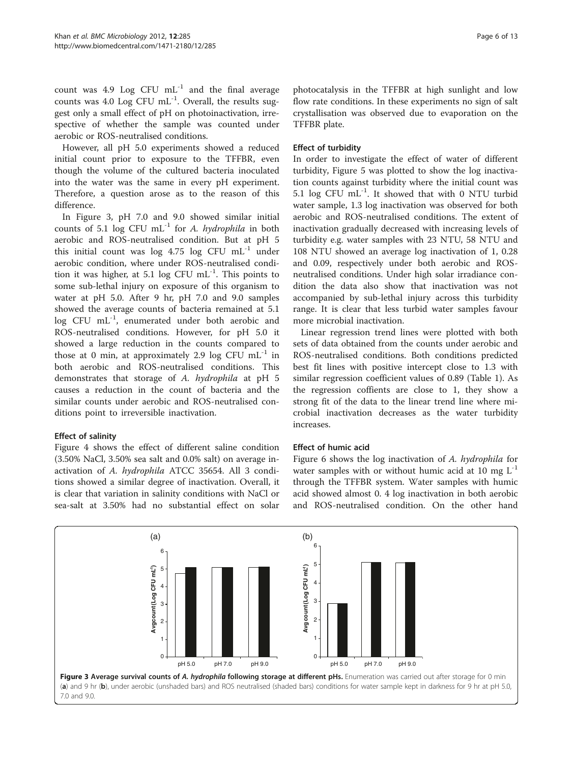<span id="page-5-0"></span>count was 4.9 Log CFU  $mL^{-1}$  and the final average counts was 4.0 Log CFU  $mL^{-1}$ . Overall, the results suggest only a small effect of pH on photoinactivation, irrespective of whether the sample was counted under aerobic or ROS-neutralised conditions.

However, all pH 5.0 experiments showed a reduced initial count prior to exposure to the TFFBR, even though the volume of the cultured bacteria inoculated into the water was the same in every pH experiment. Therefore, a question arose as to the reason of this difference.

In Figure 3, pH 7.0 and 9.0 showed similar initial counts of 5.1 log CFU mL $^{-1}$  for A. hydrophila in both aerobic and ROS-neutralised condition. But at pH 5 this initial count was log  $4.75$  log CFU mL<sup>-1</sup> under aerobic condition, where under ROS-neutralised condition it was higher, at 5.1 log CFU  $mL^{-1}$ . This points to some sub-lethal injury on exposure of this organism to water at pH 5.0. After 9 hr, pH 7.0 and 9.0 samples showed the average counts of bacteria remained at 5.1 log CFU mL<sup>-1</sup>, enumerated under both aerobic and ROS-neutralised conditions. However, for pH 5.0 it showed a large reduction in the counts compared to those at 0 min, at approximately 2.9 log CFU  $mL^{-1}$  in both aerobic and ROS-neutralised conditions. This demonstrates that storage of A. hydrophila at pH 5 causes a reduction in the count of bacteria and the similar counts under aerobic and ROS-neutralised conditions point to irreversible inactivation.

#### Effect of salinity

Figure [4](#page-6-0) shows the effect of different saline condition (3.50% NaCl, 3.50% sea salt and 0.0% salt) on average inactivation of A. hydrophila ATCC 35654. All 3 conditions showed a similar degree of inactivation. Overall, it is clear that variation in salinity conditions with NaCl or sea-salt at 3.50% had no substantial effect on solar photocatalysis in the TFFBR at high sunlight and low flow rate conditions. In these experiments no sign of salt crystallisation was observed due to evaporation on the TFFBR plate.

#### Effect of turbidity

In order to investigate the effect of water of different turbidity, Figure [5](#page-6-0) was plotted to show the log inactivation counts against turbidity where the initial count was 5.1 log CFU  $mL^{-1}$ . It showed that with 0 NTU turbid water sample, 1.3 log inactivation was observed for both aerobic and ROS-neutralised conditions. The extent of inactivation gradually decreased with increasing levels of turbidity e.g. water samples with 23 NTU, 58 NTU and 108 NTU showed an average log inactivation of 1, 0.28 and 0.09, respectively under both aerobic and ROSneutralised conditions. Under high solar irradiance condition the data also show that inactivation was not accompanied by sub-lethal injury across this turbidity range. It is clear that less turbid water samples favour more microbial inactivation.

Linear regression trend lines were plotted with both sets of data obtained from the counts under aerobic and ROS-neutralised conditions. Both conditions predicted best fit lines with positive intercept close to 1.3 with similar regression coefficient values of 0.89 (Table [1](#page-7-0)). As the regression coffients are close to 1, they show a strong fit of the data to the linear trend line where microbial inactivation decreases as the water turbidity increases.

#### Effect of humic acid

Figure [6](#page-7-0) shows the log inactivation of A. hydrophila for water samples with or without humic acid at 10 mg  $L^{-1}$ through the TFFBR system. Water samples with humic acid showed almost 0. 4 log inactivation in both aerobic and ROS-neutralised condition. On the other hand

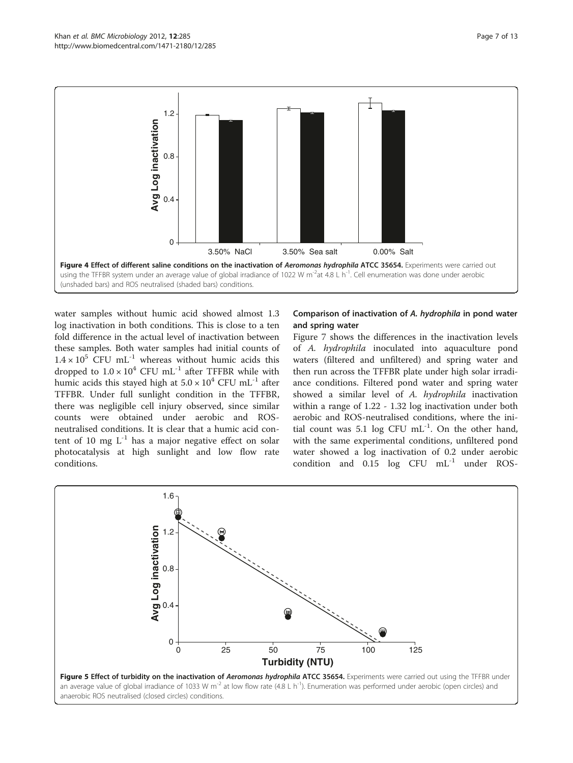<span id="page-6-0"></span>

water samples without humic acid showed almost 1.3 log inactivation in both conditions. This is close to a ten fold difference in the actual level of inactivation between these samples. Both water samples had initial counts of  $1.4 \times 10^5$  CFU mL<sup>-1</sup> whereas without humic acids this dropped to  $1.0 \times 10^4$  CFU mL<sup>-1</sup> after TFFBR while with humic acids this stayed high at  $5.0 \times 10^4$  CFU mL<sup>-1</sup> after TFFBR. Under full sunlight condition in the TFFBR, there was negligible cell injury observed, since similar counts were obtained under aerobic and ROSneutralised conditions. It is clear that a humic acid content of 10 mg  $L^{-1}$  has a major negative effect on solar photocatalysis at high sunlight and low flow rate conditions.

### Comparison of inactivation of A. hydrophila in pond water and spring water

Figure [7](#page-8-0) shows the differences in the inactivation levels of A. hydrophila inoculated into aquaculture pond waters (filtered and unfiltered) and spring water and then run across the TFFBR plate under high solar irradiance conditions. Filtered pond water and spring water showed a similar level of A. hydrophila inactivation within a range of 1.22 - 1.32 log inactivation under both aerobic and ROS-neutralised conditions, where the initial count was 5.1 log CFU  $mL^{-1}$ . On the other hand, with the same experimental conditions, unfiltered pond water showed a log inactivation of 0.2 under aerobic condition and  $0.15$  log CFU  $mL^{-1}$  under ROS-

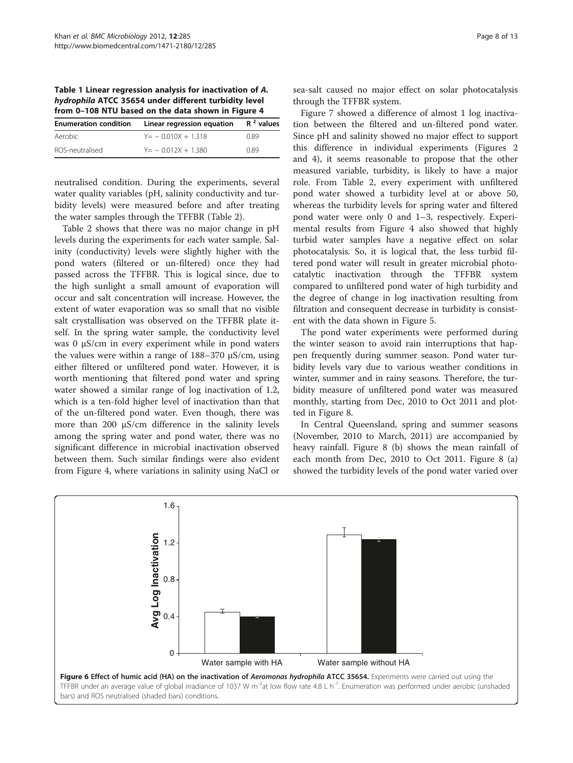<span id="page-7-0"></span>Table 1 Linear regression analysis for inactivation of A. hydrophila ATCC 35654 under different turbidity level from 0–108 NTU based on the data shown in Figure [4](#page-6-0)

| <b>Enumeration condition</b> | Linear regression equation | $R2$ values |  |
|------------------------------|----------------------------|-------------|--|
| Aerobic                      | $Y = -0.010X + 1.318$      | 0.89        |  |
| ROS-neutralised              | $Y = -0.012X + 1.380$      | O 89        |  |

neutralised condition. During the experiments, several water quality variables (pH, salinity conductivity and turbidity levels) were measured before and after treating the water samples through the TFFBR (Table [2\)](#page-8-0).

Table [2](#page-8-0) shows that there was no major change in pH levels during the experiments for each water sample. Salinity (conductivity) levels were slightly higher with the pond waters (filtered or un-filtered) once they had passed across the TFFBR. This is logical since, due to the high sunlight a small amount of evaporation will occur and salt concentration will increase. However, the extent of water evaporation was so small that no visible salt crystallisation was observed on the TFFBR plate itself. In the spring water sample, the conductivity level was 0 μS/cm in every experiment while in pond waters the values were within a range of 188–370 μS/cm, using either filtered or unfiltered pond water. However, it is worth mentioning that filtered pond water and spring water showed a similar range of log inactivation of 1.2, which is a ten-fold higher level of inactivation than that of the un-filtered pond water. Even though, there was more than 200 μS/cm difference in the salinity levels among the spring water and pond water, there was no significant difference in microbial inactivation observed between them. Such similar findings were also evident from Figure [4](#page-6-0), where variations in salinity using NaCl or

sea-salt caused no major effect on solar photocatalysis through the TFFBR system.

Figure [7](#page-8-0) showed a difference of almost 1 log inactivation between the filtered and un-filtered pond water. Since pH and salinity showed no major effect to support this difference in individual experiments (Figures [2](#page-4-0) and [4](#page-6-0)), it seems reasonable to propose that the other measured variable, turbidity, is likely to have a major role. From Table [2,](#page-8-0) every experiment with unfiltered pond water showed a turbidity level at or above 50, whereas the turbidity levels for spring water and filtered pond water were only 0 and 1–3, respectively. Experimental results from Figure [4](#page-6-0) also showed that highly turbid water samples have a negative effect on solar photocatalysis. So, it is logical that, the less turbid filtered pond water will result in greater microbial photocatalytic inactivation through the TFFBR system compared to unfiltered pond water of high turbidity and the degree of change in log inactivation resulting from filtration and consequent decrease in turbidity is consistent with the data shown in Figure [5.](#page-6-0)

The pond water experiments were performed during the winter season to avoid rain interruptions that happen frequently during summer season. Pond water turbidity levels vary due to various weather conditions in winter, summer and in rainy seasons. Therefore, the turbidity measure of unfiltered pond water was measured monthly, starting from Dec, 2010 to Oct 2011 and plotted in Figure [8.](#page-9-0)

In Central Queensland, spring and summer seasons (November, 2010 to March, 2011) are accompanied by heavy rainfall. Figure [8](#page-9-0) (b) shows the mean rainfall of each month from Dec, 2010 to Oct 2011. Figure [8](#page-9-0) (a) showed the turbidity levels of the pond water varied over

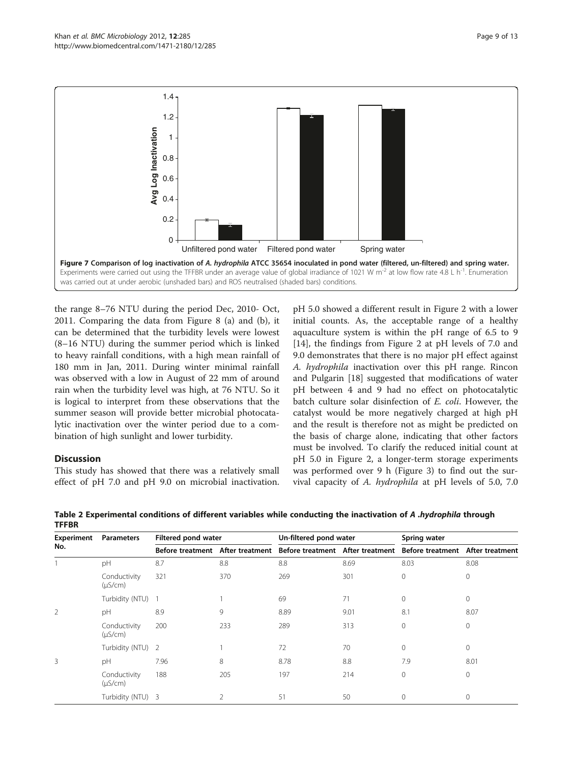<span id="page-8-0"></span>

the range 8–76 NTU during the period Dec, 2010- Oct, 2011. Comparing the data from Figure [8](#page-9-0) (a) and (b), it can be determined that the turbidity levels were lowest (8–16 NTU) during the summer period which is linked to heavy rainfall conditions, with a high mean rainfall of 180 mm in Jan, 2011. During winter minimal rainfall was observed with a low in August of 22 mm of around rain when the turbidity level was high, at 76 NTU. So it is logical to interpret from these observations that the summer season will provide better microbial photocatalytic inactivation over the winter period due to a combination of high sunlight and lower turbidity.

## Discussion

This study has showed that there was a relatively small effect of pH 7.0 and pH 9.0 on microbial inactivation.

pH 5.0 showed a different result in Figure [2](#page-4-0) with a lower initial counts. As, the acceptable range of a healthy aquaculture system is within the pH range of 6.5 to 9 [[14\]](#page-11-0), the findings from Figure [2](#page-4-0) at pH levels of 7.0 and 9.0 demonstrates that there is no major pH effect against A. hydrophila inactivation over this pH range. Rincon and Pulgarin [[18\]](#page-11-0) suggested that modifications of water pH between 4 and 9 had no effect on photocatalytic batch culture solar disinfection of E. coli. However, the catalyst would be more negatively charged at high pH and the result is therefore not as might be predicted on the basis of charge alone, indicating that other factors must be involved. To clarify the reduced initial count at pH 5.0 in Figure [2](#page-4-0), a longer-term storage experiments was performed over 9 h (Figure [3](#page-5-0)) to find out the survival capacity of A. hydrophila at pH levels of 5.0, 7.0

| Experiment<br>No. | <b>Parameters</b>            | Filtered pond water |                | Un-filtered pond water                                                                             |      | Spring water |          |
|-------------------|------------------------------|---------------------|----------------|----------------------------------------------------------------------------------------------------|------|--------------|----------|
|                   |                              |                     |                | Before treatment After treatment Before treatment After treatment Before treatment After treatment |      |              |          |
|                   | pH                           | 8.7                 | 8.8            | 8.8                                                                                                | 8.69 | 8.03         | 8.08     |
|                   | Conductivity<br>$(\mu S/cm)$ | 321                 | 370            | 269                                                                                                | 301  | $\circ$      | 0        |
|                   | Turbidity (NTU) 1            |                     |                | 69                                                                                                 | 71   | $\mathbf 0$  | 0        |
| $\overline{2}$    | pH                           | 8.9                 | 9              | 8.89                                                                                               | 9.01 | 8.1          | 8.07     |
|                   | Conductivity<br>$(\mu S/cm)$ | 200                 | 233            | 289                                                                                                | 313  | $\mathbf{0}$ | $\circ$  |
|                   | Turbidity (NTU) 2            |                     |                | 72                                                                                                 | 70   | $\mathbf{0}$ | $\circ$  |
| 3                 | pH                           | 7.96                | 8              | 8.78                                                                                               | 8.8  | 7.9          | 8.01     |
|                   | Conductivity<br>$(\mu S/cm)$ | 188                 | 205            | 197                                                                                                | 214  | 0            | 0        |
|                   | Turbidity (NTU) 3            |                     | $\mathfrak{D}$ | 51                                                                                                 | 50   | $\mathbf{0}$ | $\Omega$ |

Table 2 Experimental conditions of different variables while conducting the inactivation of A .hydrophila through **TFFRR**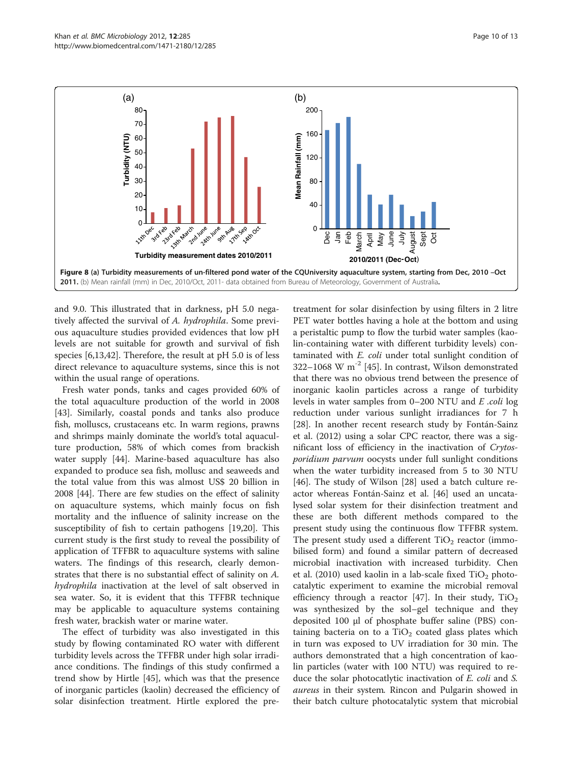<span id="page-9-0"></span>

and 9.0. This illustrated that in darkness, pH 5.0 negatively affected the survival of A. hydrophila. Some previous aquaculture studies provided evidences that low pH levels are not suitable for growth and survival of fish species [\[6,13,42](#page-11-0)]. Therefore, the result at pH 5.0 is of less direct relevance to aquaculture systems, since this is not within the usual range of operations.

Fresh water ponds, tanks and cages provided 60% of the total aquaculture production of the world in 2008 [[43\]](#page-11-0). Similarly, coastal ponds and tanks also produce fish, molluscs, crustaceans etc. In warm regions, prawns and shrimps mainly dominate the world's total aquaculture production, 58% of which comes from brackish water supply [[44\]](#page-11-0). Marine-based aquaculture has also expanded to produce sea fish, mollusc and seaweeds and the total value from this was almost US\$ 20 billion in 2008 [[44\]](#page-11-0). There are few studies on the effect of salinity on aquaculture systems, which mainly focus on fish mortality and the influence of salinity increase on the susceptibility of fish to certain pathogens [[19,20\]](#page-11-0). This current study is the first study to reveal the possibility of application of TFFBR to aquaculture systems with saline waters. The findings of this research, clearly demonstrates that there is no substantial effect of salinity on A. hydrophila inactivation at the level of salt observed in sea water. So, it is evident that this TFFBR technique may be applicable to aquaculture systems containing fresh water, brackish water or marine water.

The effect of turbidity was also investigated in this study by flowing contaminated RO water with different turbidity levels across the TFFBR under high solar irradiance conditions. The findings of this study confirmed a trend show by Hirtle [[45\]](#page-12-0), which was that the presence of inorganic particles (kaolin) decreased the efficiency of solar disinfection treatment. Hirtle explored the pre-

treatment for solar disinfection by using filters in 2 litre PET water bottles having a hole at the bottom and using a peristaltic pump to flow the turbid water samples (kaolin-containing water with different turbidity levels) contaminated with E. coli under total sunlight condition of 322–1068 W  $m^{-2}$  [[45\]](#page-12-0). In contrast, Wilson demonstrated that there was no obvious trend between the presence of inorganic kaolin particles across a range of turbidity levels in water samples from 0–200 NTU and E .coli log reduction under various sunlight irradiances for 7 h [[28\]](#page-11-0). In another recent research study by Fontán-Sainz et al. ([2012\)](#page-12-0) using a solar CPC reactor, there was a significant loss of efficiency in the inactivation of Crytosporidium parvum oocysts under full sunlight conditions when the water turbidity increased from 5 to 30 NTU [[46\]](#page-12-0). The study of Wilson [[28](#page-11-0)] used a batch culture reactor whereas Fontán-Sainz et al. [\[46](#page-12-0)] used an uncatalysed solar system for their disinfection treatment and these are both different methods compared to the present study using the continuous flow TFFBR system. The present study used a different  $TiO<sub>2</sub>$  reactor (immobilised form) and found a similar pattern of decreased microbial inactivation with increased turbidity. Chen et al. [\(2010\)](#page-12-0) used kaolin in a lab-scale fixed  $TiO<sub>2</sub>$  photocatalytic experiment to examine the microbial removal efficiency through a reactor [[47\]](#page-12-0). In their study,  $TiO<sub>2</sub>$ was synthesized by the sol–gel technique and they deposited 100 μl of phosphate buffer saline (PBS) containing bacteria on to a  $TiO<sub>2</sub>$  coated glass plates which in turn was exposed to UV irradiation for 30 min. The authors demonstrated that a high concentration of kaolin particles (water with 100 NTU) was required to reduce the solar photocatlytic inactivation of E. coli and S. aureus in their system. Rincon and Pulgarin showed in their batch culture photocatalytic system that microbial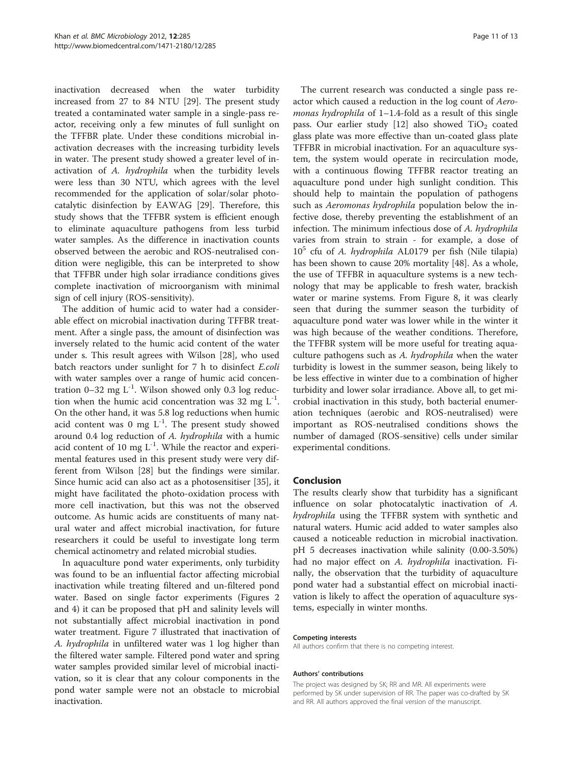inactivation decreased when the water turbidity increased from 27 to 84 NTU [[29\]](#page-11-0). The present study treated a contaminated water sample in a single-pass reactor, receiving only a few minutes of full sunlight on the TFFBR plate. Under these conditions microbial inactivation decreases with the increasing turbidity levels in water. The present study showed a greater level of inactivation of A. hydrophila when the turbidity levels were less than 30 NTU, which agrees with the level recommended for the application of solar/solar photocatalytic disinfection by EAWAG [[29\]](#page-11-0). Therefore, this study shows that the TFFBR system is efficient enough to eliminate aquaculture pathogens from less turbid water samples. As the difference in inactivation counts observed between the aerobic and ROS-neutralised condition were negligible, this can be interpreted to show that TFFBR under high solar irradiance conditions gives complete inactivation of microorganism with minimal sign of cell injury (ROS-sensitivity).

The addition of humic acid to water had a considerable effect on microbial inactivation during TFFBR treatment. After a single pass, the amount of disinfection was inversely related to the humic acid content of the water under s. This result agrees with Wilson [\[28](#page-11-0)], who used batch reactors under sunlight for 7 h to disinfect E.coli with water samples over a range of humic acid concentration 0–32 mg  $L^{-1}$ . Wilson showed only 0.3 log reduction when the humic acid concentration was 32 mg  $L^{-1}$ . On the other hand, it was 5.8 log reductions when humic acid content was 0 mg  $L^{-1}$ . The present study showed around 0.4 log reduction of A. hydrophila with a humic acid content of 10 mg  $L^{-1}$ . While the reactor and experimental features used in this present study were very different from Wilson [[28](#page-11-0)] but the findings were similar. Since humic acid can also act as a photosensitiser [[35\]](#page-11-0), it might have facilitated the photo-oxidation process with more cell inactivation, but this was not the observed outcome. As humic acids are constituents of many natural water and affect microbial inactivation, for future researchers it could be useful to investigate long term chemical actinometry and related microbial studies.

In aquaculture pond water experiments, only turbidity was found to be an influential factor affecting microbial inactivation while treating filtered and un-filtered pond water. Based on single factor experiments (Figures [2](#page-4-0) and [4\)](#page-6-0) it can be proposed that pH and salinity levels will not substantially affect microbial inactivation in pond water treatment. Figure [7](#page-8-0) illustrated that inactivation of A. hydrophila in unfiltered water was 1 log higher than the filtered water sample. Filtered pond water and spring water samples provided similar level of microbial inactivation, so it is clear that any colour components in the pond water sample were not an obstacle to microbial inactivation.

The current research was conducted a single pass reactor which caused a reduction in the log count of Aeromonas hydrophila of 1-1.4-fold as a result of this single pass. Our earlier study  $[12]$  $[12]$  also showed TiO<sub>2</sub> coated glass plate was more effective than un-coated glass plate TFFBR in microbial inactivation. For an aquaculture system, the system would operate in recirculation mode, with a continuous flowing TFFBR reactor treating an aquaculture pond under high sunlight condition. This should help to maintain the population of pathogens such as Aeromonas hydrophila population below the infective dose, thereby preventing the establishment of an infection. The minimum infectious dose of A. hydrophila varies from strain to strain - for example, a dose of  $10<sup>5</sup>$  cfu of A. *hydrophila* AL0179 per fish (Nile tilapia) has been shown to cause 20% mortality [[48\]](#page-12-0). As a whole, the use of TFFBR in aquaculture systems is a new technology that may be applicable to fresh water, brackish water or marine systems. From Figure [8,](#page-9-0) it was clearly seen that during the summer season the turbidity of aquaculture pond water was lower while in the winter it was high because of the weather conditions. Therefore, the TFFBR system will be more useful for treating aquaculture pathogens such as A. hydrophila when the water turbidity is lowest in the summer season, being likely to be less effective in winter due to a combination of higher turbidity and lower solar irradiance. Above all, to get microbial inactivation in this study, both bacterial enumeration techniques (aerobic and ROS-neutralised) were important as ROS-neutralised conditions shows the number of damaged (ROS-sensitive) cells under similar experimental conditions.

#### Conclusion

The results clearly show that turbidity has a significant influence on solar photocatalytic inactivation of A. hydrophila using the TFFBR system with synthetic and natural waters. Humic acid added to water samples also caused a noticeable reduction in microbial inactivation. pH 5 decreases inactivation while salinity (0.00-3.50%) had no major effect on A. hydrophila inactivation. Finally, the observation that the turbidity of aquaculture pond water had a substantial effect on microbial inactivation is likely to affect the operation of aquaculture systems, especially in winter months.

#### Competing interests

All authors confirm that there is no competing interest.

#### Authors' contributions

The project was designed by SK; RR and MR. All experiments were performed by SK under supervision of RR. The paper was co-drafted by SK and RR. All authors approved the final version of the manuscript.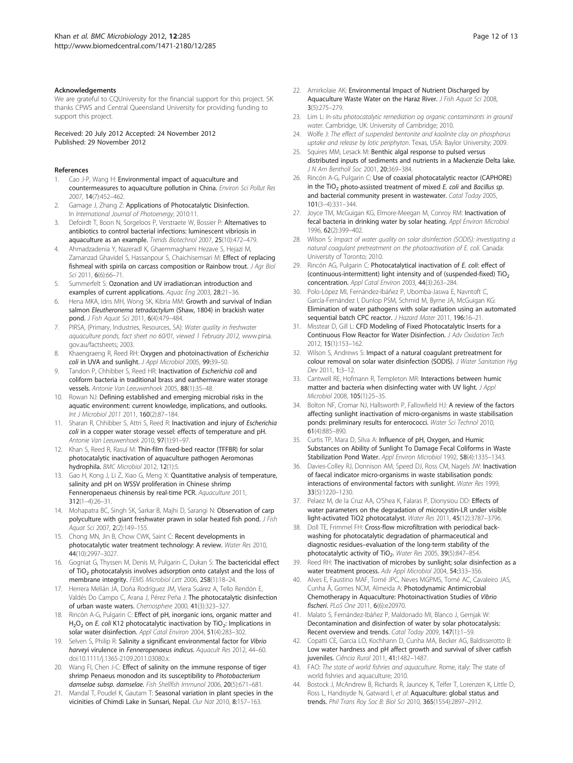#### <span id="page-11-0"></span>Acknowledgements

We are grateful to CQUniversity for the financial support for this project. SK thanks CPWS and Central Queensland University for providing funding to support this project.

Received: 20 July 2012 Accepted: 24 November 2012 Published: 29 November 2012

#### References

- 1. Cao J-P, Wang H: Environmental impact of aquaculture and countermeasures to aquaculture pollution in China. Environ Sci Pollut Res 2007, 14(7):452–462.
- 2. Gamage J, Zhang Z: Applications of Photocatalytic Disinfection. In International Journal of Photoenergy; 2010:11.
- 3. Defoirdt T, Boon N, Sorgeloos P, Verstraete W, Bossier P: Alternatives to antibiotics to control bacterial infections: luminescent vibriosis in aquaculture as an example. Trends Biotechnol 2007, 25(10):472–479.
- 4. Ahmadzadenia Y, Nazeradl K, Ghaemmaghami Hezave S, Hejazi M, Zamanzad Ghavidel S, Hassanpour S, Chaichisemsari M: Effect of replacing fishmeal with spirila on carcass composition or Rainbow trout. J Agr Biol Sci 2011, 6(6):66–71.
- 5. Summerfelt S: Ozonation and UV irradiation:an introduction and examples of current applications. Aquac Eng 2003, 28:21–36.
- 6. Hena MKA, Idris MH, Wong SK, Kibria MM: Growth and survival of Indian salmon Eleutheronema tetradactylum (Shaw, 1804) in brackish water pond. J Fish Aquat Sci 2011, 6(4):479–484.
- 7. PIRSA, (Primary, Industries, Resources, SA): Water quality in freshwater aquaculture ponds, fact sheet no 60/01, viewed 1 February 2012, [www.pirsa.](www.pirsa.gov.au/factsheets) [gov.au/factsheets](www.pirsa.gov.au/factsheets); 2003.
- Khaengraeng R, Reed RH: Oxygen and photoinactivation of Escherichia coli in UVA and sunlight. J Appl Microbiol 2005, 99:39-50.
- Tandon P, Chhibber S, Reed HR: Inactivation of Escherichia coli and coliform bacteria in traditional brass and earthernware water storage vessels. Antonie Van Leeuwenhoek 2005, 88(1):35–48.
- 10. Rowan NJ: Defining established and emerging microbial risks in the aquatic environment: current knowledge, implications, and outlooks. Int J Microbiol 2011 2011, 160(2):87–184.
- 11. Sharan R, Chhibber S, Attri S, Reed R: Inactivation and injury of Escherichia coli in a copper water storage vessel: effects of temperature and pH. Antonie Van Leeuwenhoek 2010, 97(1):91–97.
- 12. Khan S, Reed R, Rasul M: Thin-film fixed-bed reactor (TFFBR) for solar photocatalytic inactivation of aquaculture pathogen Aeromonas hydrophila. BMC Microbiol 2012, 12(1):5.
- 13. Gao H, Kong J, Li Z, Xiao G, Meng X: Quantitative analysis of temperature, salinity and pH on WSSV proliferation in Chinese shrimp Fenneropenaeus chinensis by real-time PCR. Aquaculture 2011, 312(1–4):26–31.
- 14. Mohapatra BC, Singh SK, Sarkar B, Majhi D, Sarangi N: Observation of carp polyculture with giant freshwater prawn in solar heated fish pond. J Fish Aquat Sci 2007, 2(2):149–155.
- 15. Chong MN, Jin B, Chow CWK, Saint C: Recent developments in photocatalytic water treatment technology: A review. Water Res 2010, 44(10):2997–3027.
- 16. Gogniat G, Thyssen M, Denis M, Pulgarin C, Dukan S: The bactericidal effect of TiO<sub>2</sub> photocatalysis involves adsorption onto catalyst and the loss of membrane integrity. FEMS Microbiol Lett 2006, 258(1):18–24.
- 17. Herrera Melián JA, Doña Rodríguez JM, Viera Suárez A, Tello Rendón E, Valdés Do Campo C, Arana J, Pérez Peña J: The photocatalytic disinfection of urban waste waters. Chemosphere 2000, 41(3):323–327.
- 18. Rincón A-G, Pulgarin C: Effect of pH, inorganic ions, organic matter and H<sub>2</sub>O<sub>2</sub> on *E. coli* K12 photocatalytic inactivation by TiO<sub>2</sub>: Implications in solar water disinfection. Appl Catal Environ 2004, 51(4):283–302.
- 19. Selven S, Philip R: Salinity a significant environmental factor for Vibrio harveyi virulence in Fenneropenaeus indicus. Aquacult Res 2012, 44–60. doi[:10.1111/j.1365-2109.2011.03080.x](http://dx.doi.org/10.1111/j.1365-2109.2011.03080.x).
- 20. Wang FI, Chen J-C: Effect of salinity on the immune response of tiger shrimp Penaeus monodon and its susceptibility to Photobacterium damselae subsp. damselae. Fish Shellfish Immunol 2006, 20(5):671–681.
- 21. Mandal T, Poudel K, Gautam T: Seasonal variation in plant species in the vicinities of Chimdi Lake in Sunsari, Nepal. Our Nat 2010, 8:157–163.
- 22. Amirkolaie AK: Environmental Impact of Nutrient Discharged by Aquaculture Waste Water on the Haraz River. J Fish Aquat Sci 2008,  $3(5) \cdot 275 - 279$
- 23. Lim L: In-situ photocatalytic remediation og organic contaminants in ground water. Cambridge, UK: University of Cambridge: 2010.
- 24. Wolfe J: The effect of suspended bentonite and kaolinite clay on phosphorus uptake and release by lotic periphyton. Texas, USA: Baylor University; 2009.
- 25. Squires MM, Lesack M: Benthic algal response to pulsed versus distributed inputs of sediments and nutrients in a Mackenzie Delta lake. J N Am Bentholl Soc 2001, 20:369–384.
- 26. Rincón A-G, Pulgarin C: Use of coaxial photocatalytic reactor (CAPHORE) in the TiO<sub>2</sub> photo-assisted treatment of mixed E. coli and Bacillus sp. and bacterial community present in wastewater. Catal Today 2005, 101(3–4):331–344.
- 27. Joyce TM, McGuigan KG, Elmore-Meegan M, Conroy RM: Inactivation of fecal bacteria in drinking water by solar heating. Appl Environ Microbiol 1996, 62(2):399–402.
- 28. Wilson S: Impact of water quality on solar disinfection (SODIS): investigating a natural coagulant pretreatment on the photoactivation of E. coli. Canada: University of Toronto; 2010.
- 29. Rincón AG, Pulgarin C: Photocatalytical inactivation of E. coli: effect of (continuous-intermittent) light intensity and of (suspended-fixed)  $TiO<sub>2</sub>$ concentration. Appl Catal Environ 2003, 44(3):263–284.
- 30. Polo-López MI, Fernández-Ibáñez P, Ubomba-Jaswa E, Navntoft C, García-Fernández I, Dunlop PSM, Schmid M, Byrne JA, McGuigan KG: Elimination of water pathogens with solar radiation using an automated sequential batch CPC reactor. J Hazard Mater 2011, 196:16-21.
- 31. Misstear D, Gill L: CFD Modeling of Fixed Photocatalytic Inserts for a Continuous Flow Reactor for Water Disinfection. J Adv Oxidation Tech 2012, 15(1):153–162.
- 32. Wilson S, Andrews S: Impact of a natural coagulant pretreatment for colour removal on solar water disinfection (SODIS). J Water Sanitation Hyg Dev 2011, 1:3–12.
- 33. Cantwell RE, Hofmann R, Templeton MR: Interactions between humic matter and bacteria when disinfecting water with UV light. J Appl Microbiol 2008, 105(1):25–35.
- 34. Bolton NF, Cromar NJ, Hallsworth P, Fallowfield HJ: A review of the factors affecting sunlight inactivation of micro-organisms in waste stabilisation ponds: preliminary results for enterococci. Water Sci Technol 2010, 61(4):885–890.
- 35. Curtis TP, Mara D, Silva A: Influence of pH, Oxygen, and Humic Substances on Ability of Sunlight To Damage Fecal Coliforms in Waste Stabilization Pond Water. Appl Environ Microbiol 1992, 58(4):1335-1343.
- 36. Davies-Colley RJ, Donnison AM, Speed DJ, Ross CM, Nagels JW: Inactivation of faecal indicator micro-organisms in waste stabilisation ponds: interactions of environmental factors with sunlight. Water Res 1999, 33(5):1220–1230.
- 37. Pelaez M, de la Cruz AA, O'Shea K, Falaras P, Dionysiou DD: Effects of water parameters on the degradation of microcystin-LR under visible light-activated TiO2 photocatalyst. Water Res 2011, 45(12):3787–3796.
- 38. Doll TE, Frimmel FH: Cross-flow microfiltration with periodical backwashing for photocatalytic degradation of pharmaceutical and diagnostic residues–evaluation of the long-term stability of the photocatalytic activity of TiO<sub>2</sub>. Water Res 2005, 39(5):847-854.
- 39. Reed RH: The inactivation of microbes by sunlight; solar disinfection as a water treatment process. Adv Appl Microbiol 2004, 54:333–356.
- Alves E, Faustino MAF, Tomé JPC, Neves MGPMS, Tomé AC, Cavaleiro JAS, Cunha Â, Gomes NCM, Almeida A: Photodynamic Antimicrobial Chemotherapy in Aquaculture: Photoinactivation Studies of Vibrio fischeri. PLoS One 2011, 6(6):e20970.
- 41. Malato S, Fernández-Ibáñez P, Maldonado MI, Blanco J, Gernjak W: Decontamination and disinfection of water by solar photocatalysis: Recent overview and trends. Catal Today 2009, 147(1):1–59.
- 42. Copatti CE, Garcia LO, Kochhann D, Cunha MA, Becker AG, Baldisserotto B: Low water hardness and pH affect growth and survival of silver catfish juveniles. Ciência Rural 2011, 41:1482–1487.
- 43. FAO: The state of world fishries and aquaculture. Rome, italy: The state of world fishries and aquaculture; 2010.
- 44. Bostock J, McAndrew B, Richards R, Jauncey K, Telfer T, Lorenzen K, Little D, Ross L, Handisyde N, Gatward I, et al: Aquaculture: global status and trends. Phil Trans Roy Soc B: Biol Sci 2010, 365(1554):2897–2912.